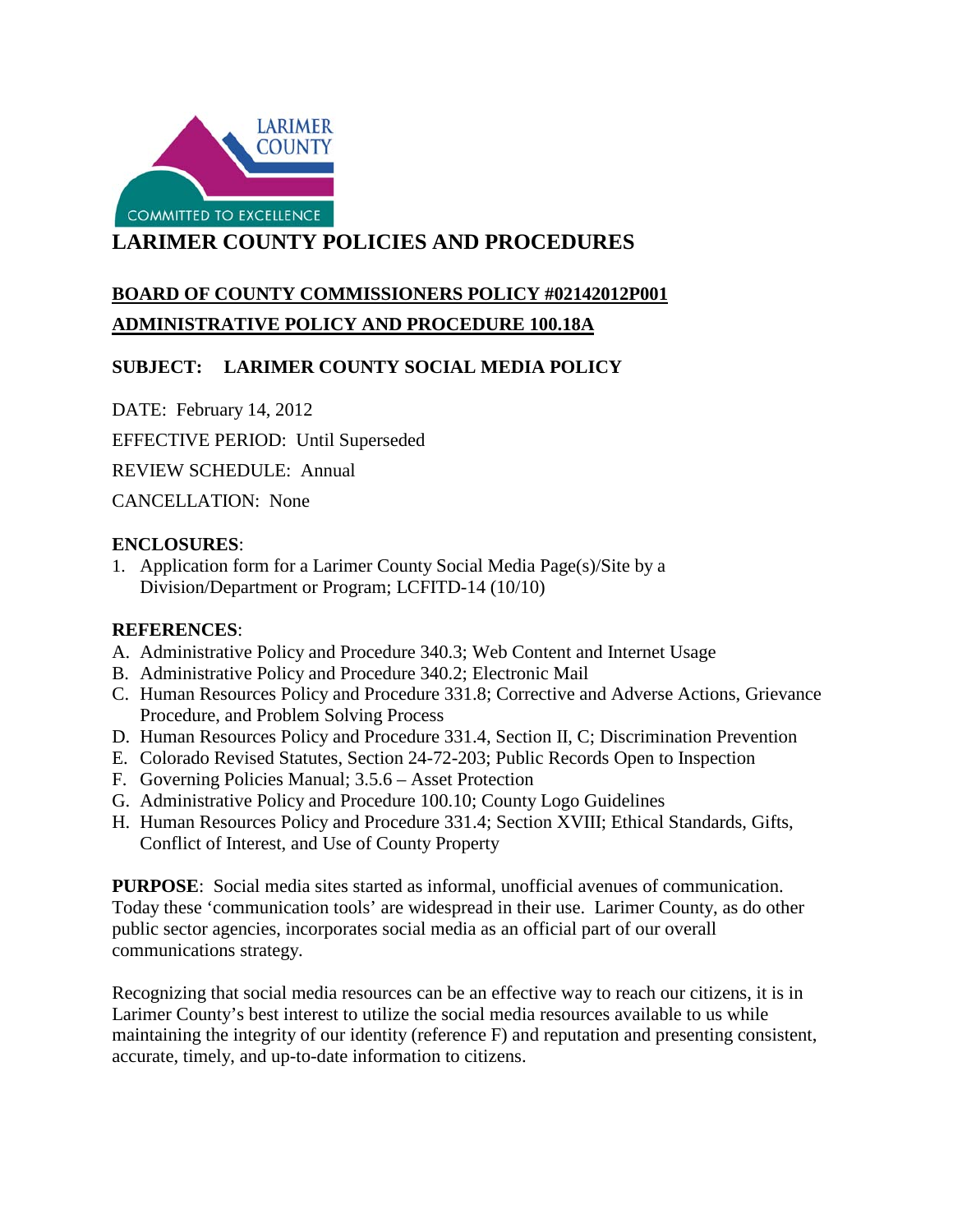

# **LARIMER COUNTY POLICIES AND PROCEDURES**

# **BOARD OF COUNTY COMMISSIONERS POLICY #02142012P001 ADMINISTRATIVE POLICY AND PROCEDURE 100.18A**

## **SUBJECT: LARIMER COUNTY SOCIAL MEDIA POLICY**

DATE: February 14, 2012

EFFECTIVE PERIOD: Until Superseded

REVIEW SCHEDULE: Annual

CANCELLATION: None

#### **ENCLOSURES**:

1. Application form for a Larimer County Social Media Page(s)/Site by a Division/Department or Program; LCFITD-14 (10/10)

#### **REFERENCES**:

- A. Administrative Policy and Procedure 340.3; Web Content and Internet Usage
- B. Administrative Policy and Procedure 340.2; Electronic Mail
- C. Human Resources Policy and Procedure 331.8; Corrective and Adverse Actions, Grievance Procedure, and Problem Solving Process
- D. Human Resources Policy and Procedure 331.4, Section II, C; Discrimination Prevention
- E. Colorado Revised Statutes, Section 24-72-203; Public Records Open to Inspection
- F. Governing Policies Manual; 3.5.6 Asset Protection
- G. Administrative Policy and Procedure 100.10; County Logo Guidelines
- H. Human Resources Policy and Procedure 331.4; Section XVIII; Ethical Standards, Gifts, Conflict of Interest, and Use of County Property

**PURPOSE**: Social media sites started as informal, unofficial avenues of communication. Today these 'communication tools' are widespread in their use. Larimer County, as do other public sector agencies, incorporates social media as an official part of our overall communications strategy.

 Larimer County's best interest to utilize the social media resources available to us while Recognizing that social media resources can be an effective way to reach our citizens, it is in maintaining the integrity of our identity (reference F) and reputation and presenting consistent, accurate, timely, and up-to-date information to citizens.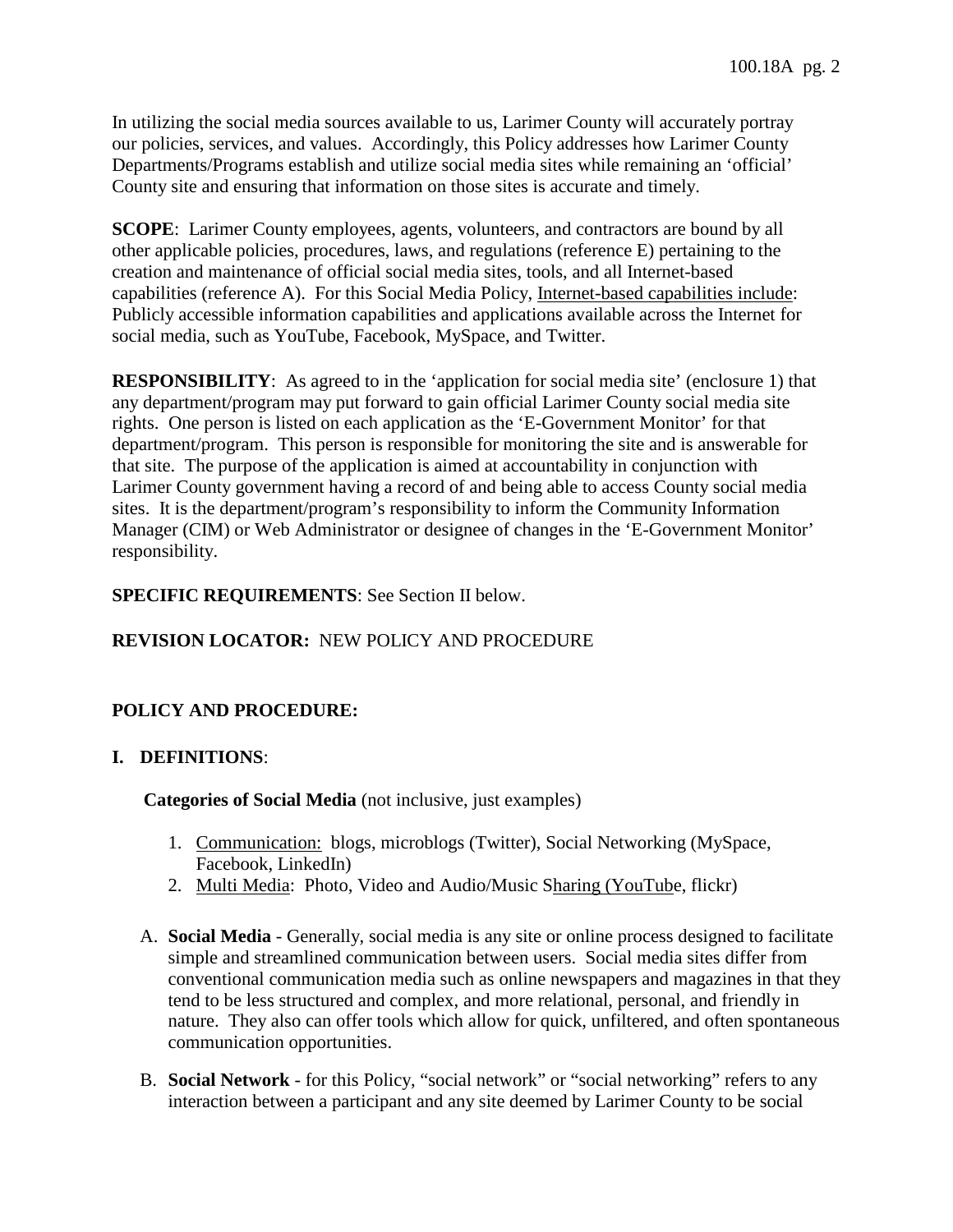In utilizing the social media sources available to us, Larimer County will accurately portray our policies, services, and values. Accordingly, this Policy addresses how Larimer County Departments/Programs establish and utilize social media sites while remaining an 'official' County site and ensuring that information on those sites is accurate and timely.

capabilities (reference A). For this Social Media Policy, Internet-based capabilities include: capabilities (reference A). For this Social Media Policy, <u>Internet-based capabilities include</u>:<br>Publicly accessible information capabilities and applications available across the Internet for social media, such as YouTube, Facebook, MySpace, and Twitter. **SCOPE:** Larimer County employees, agents, volunteers, and contractors are bound by all other applicable policies, procedures, laws, and regulations (reference E) pertaining to the creation and maintenance of official social media sites, tools, and all Internet-based

 **RESPONSIBILITY**: As agreed to in the 'application for social media site' (enclosure 1) that any department/program may put forward to gain official Larimer County social media site rights. One person is listed on each application as the 'E-Government Monitor' for that department/program. This person is responsible for monitoring the site and is answerable for that site. The purpose of the application is aimed at accountability in conjunction with Larimer County government having a record of and being able to access County social media sites. It is the department/program's responsibility to inform the Community Information Manager (CIM) or Web Administrator or designee of changes in the 'E-Government Monitor' responsibility.

### **SPECIFIC REQUIREMENTS**: See Section II below.

# **REVISION LOCATOR:** NEW POLICY AND PROCEDURE

## **POLICY AND PROCEDURE:**

### **I. DEFINITIONS**:

**Categories of Social Media** (not inclusive, just examples)

- 1. Communication: blogs, microblogs (Twitter), Social Networking (MySpace, Facebook, LinkedIn)
- 2. Multi Media: Photo, Video and Audio/Music Sharing (YouTube, flickr)
- A. **Social Media**  Generally, social media is any site or online process designed to facilitate simple and streamlined communication between users. Social media sites differ from conventional communication media such as online newspapers and magazines in that they tend to be less structured and complex, and more relational, personal, and friendly in nature. They also can offer tools which allow for quick, unfiltered, and often spontaneous communication opportunities.
- B. **Social Network**  for this Policy, "social network" or "social networking" refers to any interaction between a participant and any site deemed by Larimer County to be social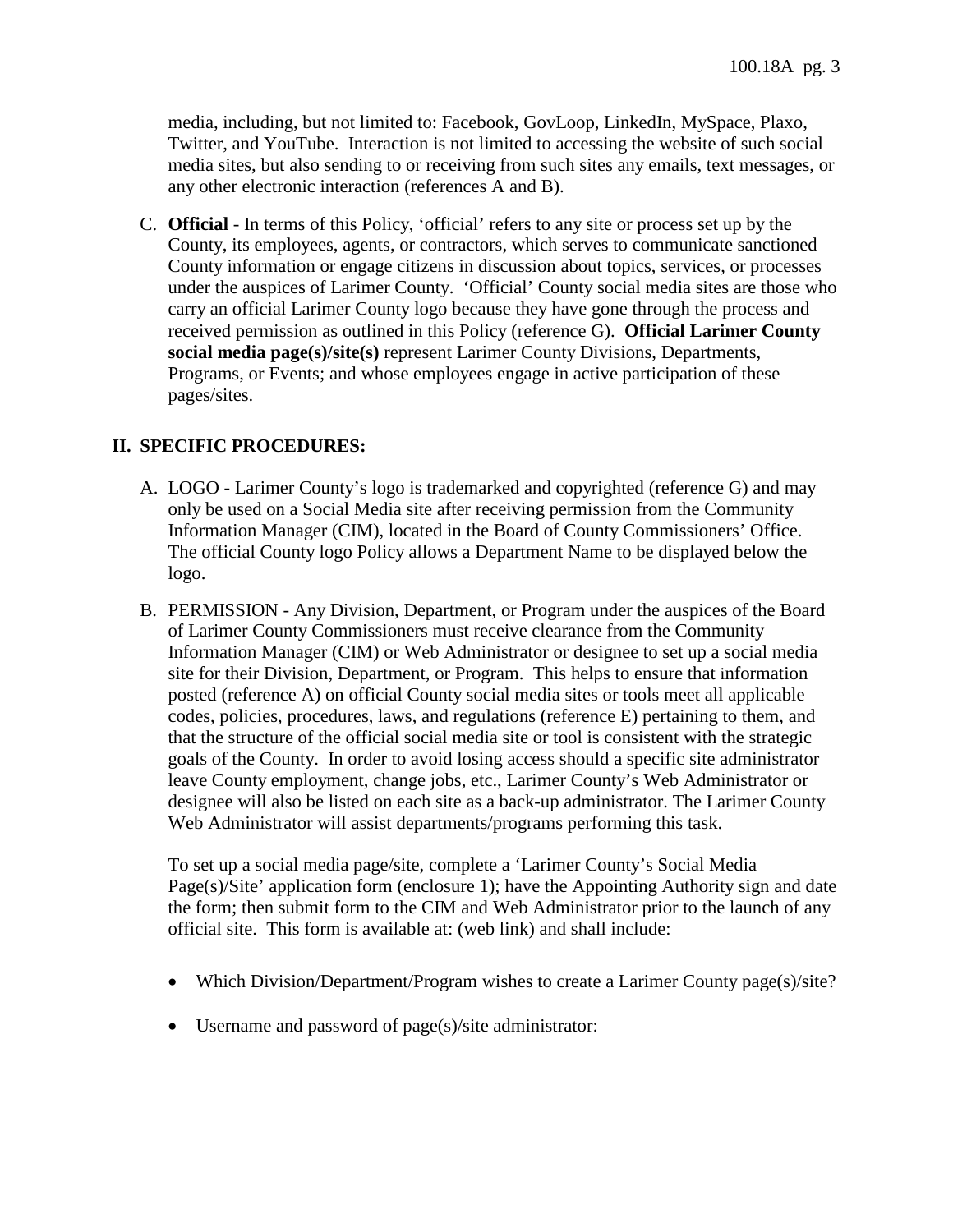media, including, but not limited to: Facebook, GovLoop, LinkedIn, MySpace, Plaxo, Twitter, and YouTube. Interaction is not limited to accessing the website of such social media sites, but also sending to or receiving from such sites any emails, text messages, or any other electronic interaction (references A and B).

 C. **Official** - In terms of this Policy, 'official' refers to any site or process set up by the pages/sites. County, its employees, agents, or contractors, which serves to communicate sanctioned County information or engage citizens in discussion about topics, services, or processes under the auspices of Larimer County. 'Official' County social media sites are those who carry an official Larimer County logo because they have gone through the process and received permission as outlined in this Policy (reference G). **Official Larimer County social media page(s)/site(s)** represent Larimer County Divisions, Departments, Programs, or Events; and whose employees engage in active participation of these

#### **II. SPECIFIC PROCEDURES:**

- A. LOGO Larimer County's logo is trademarked and copyrighted (reference G) and may Information Manager (CIM), located in the Board of County Commissioners' Office. only be used on a Social Media site after receiving permission from the Community The official County logo Policy allows a Department Name to be displayed below the logo.
- Information Manager (CIM) or Web Administrator or designee to set up a social media goals of the County. In order to avoid losing access should a specific site administrator leave County employment, change jobs, etc., Larimer County's Web Administrator or Web Administrator will assist departments/programs performing this task. B. PERMISSION - Any Division, Department, or Program under the auspices of the Board of Larimer County Commissioners must receive clearance from the Community site for their Division, Department, or Program. This helps to ensure that information posted (reference A) on official County social media sites or tools meet all applicable codes, policies, procedures, laws, and regulations (reference E) pertaining to them, and that the structure of the official social media site or tool is consistent with the strategic designee will also be listed on each site as a back-up administrator. The Larimer County

 To set up a social media page/site, complete a 'Larimer County's Social Media Page(s)/Site' application form (enclosure 1); have the Appointing Authority sign and date the form; then submit form to the CIM and Web Administrator prior to the launch of any official site. This form is available at: (web link) and shall include:

- Which Division/Department/Program wishes to create a Larimer County page(s)/site?
- Username and password of page(s)/site administrator: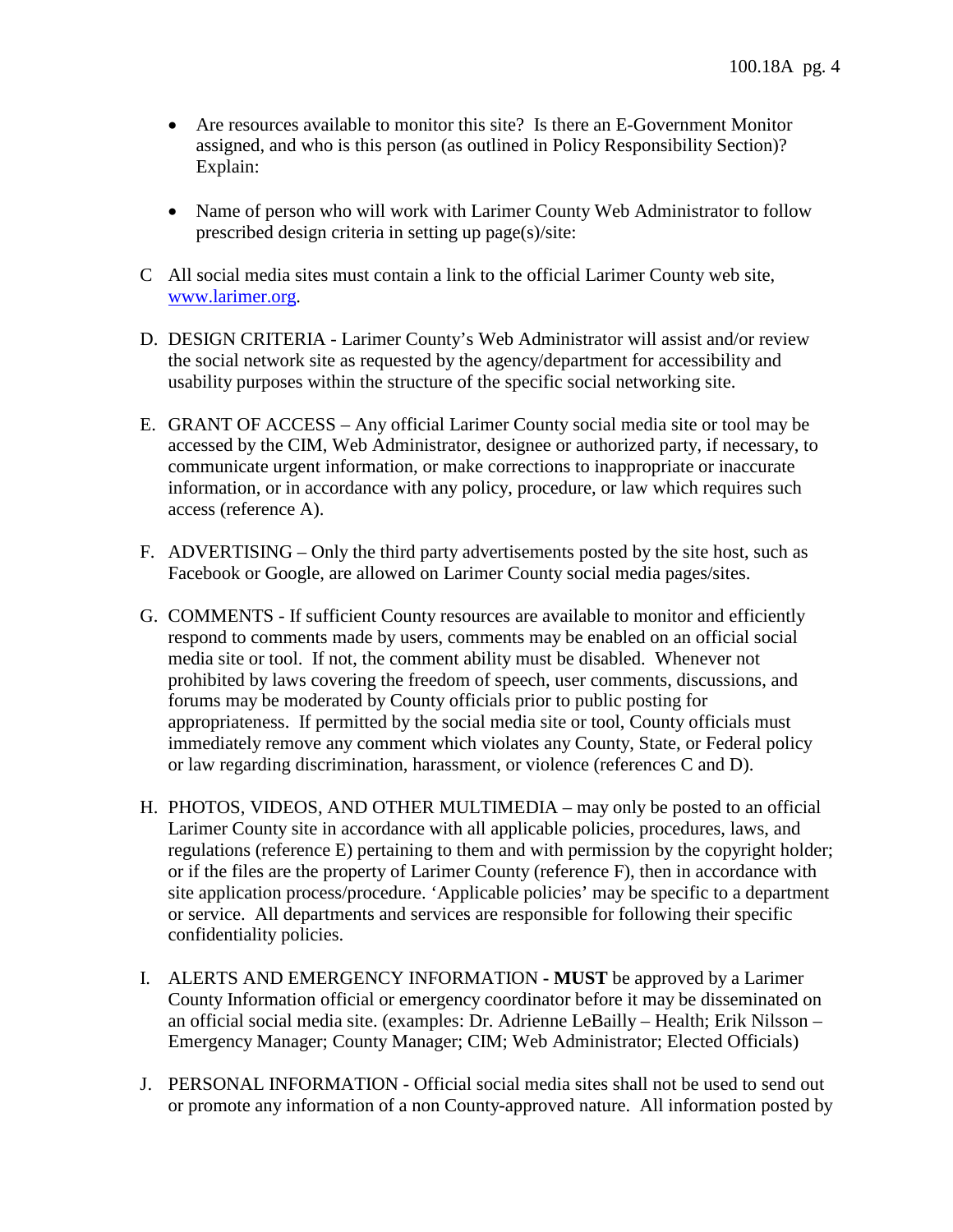- assigned, and who is this person (as outlined in Policy Responsibility Section)? • Are resources available to monitor this site? Is there an E-Government Monitor Explain:
- Name of person who will work with Larimer County Web Administrator to follow prescribed design criteria in setting up page(s)/site:
- C All social media sites must contain a link to the official Larimer County web site, [www.larimer.org.](http://www.larimer.org/)
- D. DESIGN CRITERIA Larimer County's Web Administrator will assist and/or review the social network site as requested by the agency/department for accessibility and usability purposes within the structure of the specific social networking site.
- accessed by the CIM, Web Administrator, designee or authorized party, if necessary, to E. GRANT OF ACCESS – Any official Larimer County social media site or tool may be communicate urgent information, or make corrections to inappropriate or inaccurate information, or in accordance with any policy, procedure, or law which requires such access (reference A).
- F. ADVERTISING Only the third party advertisements posted by the site host, such as Facebook or Google, are allowed on Larimer County social media pages/sites.
- G. COMMENTS If sufficient County resources are available to monitor and efficiently respond to comments made by users, comments may be enabled on an official social media site or tool. If not, the comment ability must be disabled. Whenever not prohibited by laws covering the freedom of speech, user comments, discussions, and forums may be moderated by County officials prior to public posting for appropriateness. If permitted by the social media site or tool, County officials must immediately remove any comment which violates any County, State, or Federal policy or law regarding discrimination, harassment, or violence (references C and D).
- H. PHOTOS, VIDEOS, AND OTHER MULTIMEDIA may only be posted to an official Larimer County site in accordance with all applicable policies, procedures, laws, and regulations (reference E) pertaining to them and with permission by the copyright holder; or if the files are the property of Larimer County (reference F), then in accordance with site application process/procedure. 'Applicable policies' may be specific to a department or service. All departments and services are responsible for following their specific confidentiality policies.
- an official social media site. (examples: Dr. Adrienne LeBailly Health; Erik Nilsson Emergency Manager; County Manager; CIM; Web Administrator; Elected Officials) I. ALERTS AND EMERGENCY INFORMATION **- MUST** be approved by a Larimer County Information official or emergency coordinator before it may be disseminated on
- J. PERSONAL INFORMATION Official social media sites shall not be used to send out or promote any information of a non County-approved nature. All information posted by